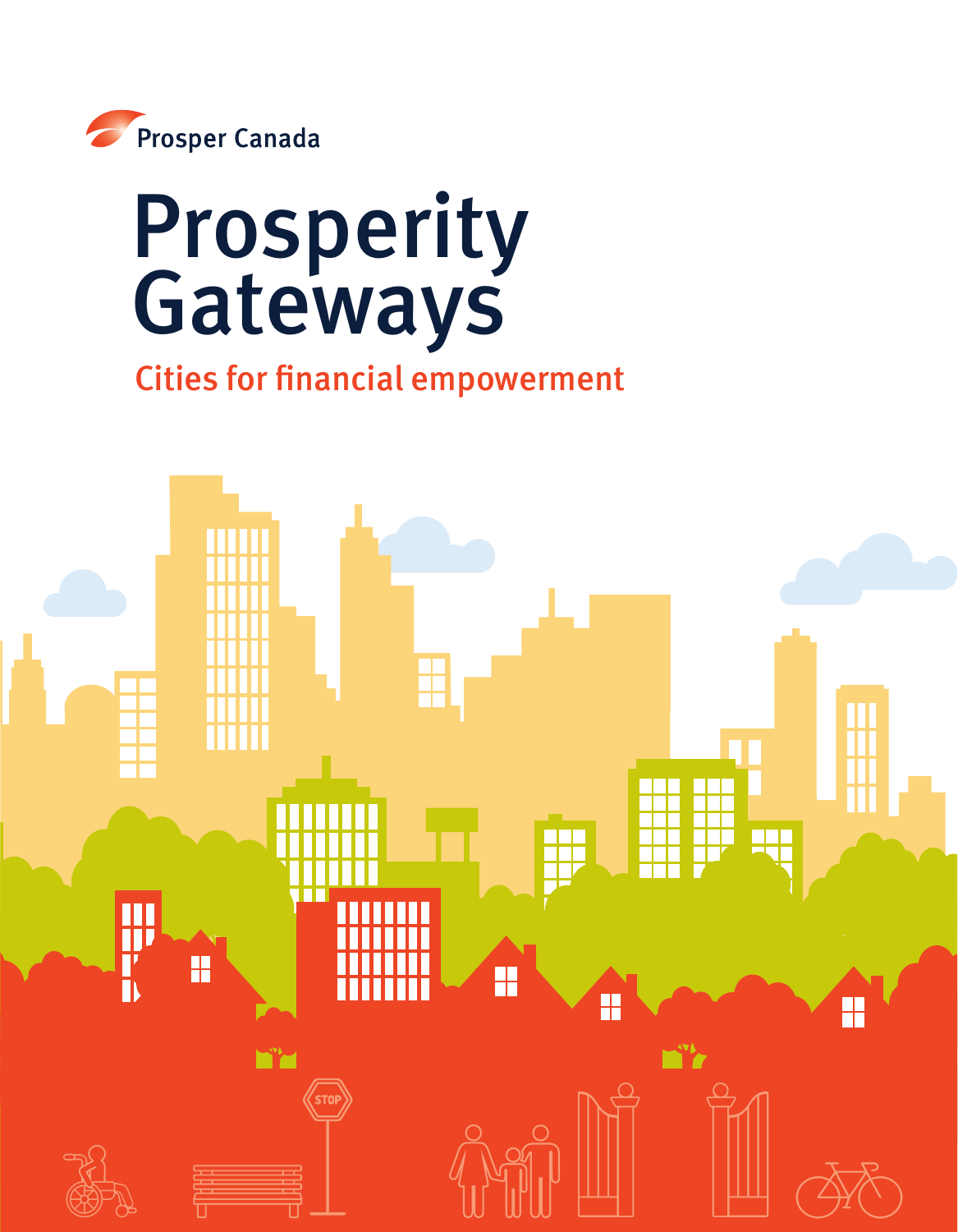

# Prosperity Gateways

# Cities for financial empowerment

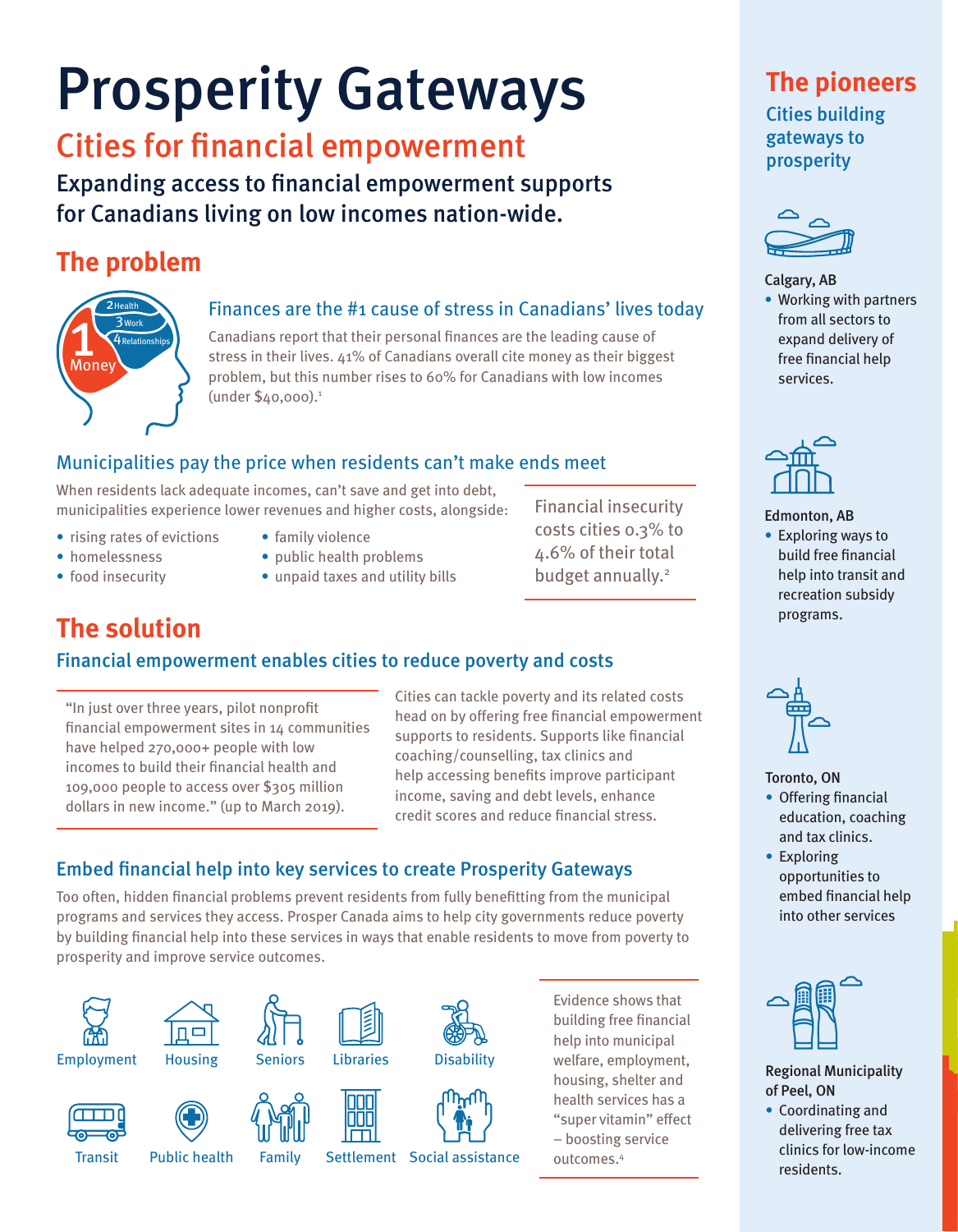# Prosperity Gateways

# Cities for financial empowerment

Expanding access to financial empowerment supports for Canadians living on low incomes nation-wide.

## **The problem**



### Finances are the #1 cause of stress in Canadians' lives today

Canadians report that their personal finances are the leading cause of stress in their lives. 41% of Canadians overall cite money as their biggest problem, but this number rises to 60% for Canadians with low incomes (under \$40,000).<sup>1</sup>

## Municipalities pay the price when residents can't make ends meet

When residents lack adequate incomes, can't save and get into debt, municipalities experience lower revenues and higher costs, alongside:

- rising rates of evictions
- homelessness
- family violence
- public health problems
- food insecurity • unpaid taxes and utility bills

Financial insecurity costs cities 0.3% to 4.6% of their total budget annually.<sup>2</sup>

# **The solution**

## Financial empowerment enables cities to reduce poverty and costs

"In just over three years, pilot nonprofit financial empowerment sites in 14 communities have helped 270,000+ people with low incomes to build their financial health and 109,000 people to access over \$305 million dollars in new income." (up to March 2019).

Cities can tackle poverty and its related costs head on by offering free financial empowerment supports to residents. Supports like financial coaching/counselling, tax clinics and help accessing benefits improve participant income, saving and debt levels, enhance credit scores and reduce financial stress.

## Embed financial help into key services to create Prosperity Gateways

Too often, hidden financial problems prevent residents from fully benefitting from the municipal programs and services they access. Prosper Canada aims to help city governments reduce poverty by building financial help into these services in ways that enable residents to move from poverty to prosperity and improve service outcomes.

















Libraries



**Disability** 

Evidence shows that building free financial help into municipal welfare, employment, housing, shelter and health services has a "super vitamin" effect – boosting service outcomes.4

## **The pioneers** Cities building gateways to prosperity



#### Calgary, AB

• Working with partners from all sectors to expand delivery of free financial help services.



#### Edmonton, AB

• Exploring ways to build free financial help into transit and recreation subsidy programs.



#### Toronto, ON

- Offering financial education, coaching and tax clinics.
- Exploring opportunities to embed financial help into other services



#### Regional Municipality of Peel, ON

• Coordinating and delivering free tax clinics for low-income residents.

**Transit** 

Public health

Family

Settlement Social assistance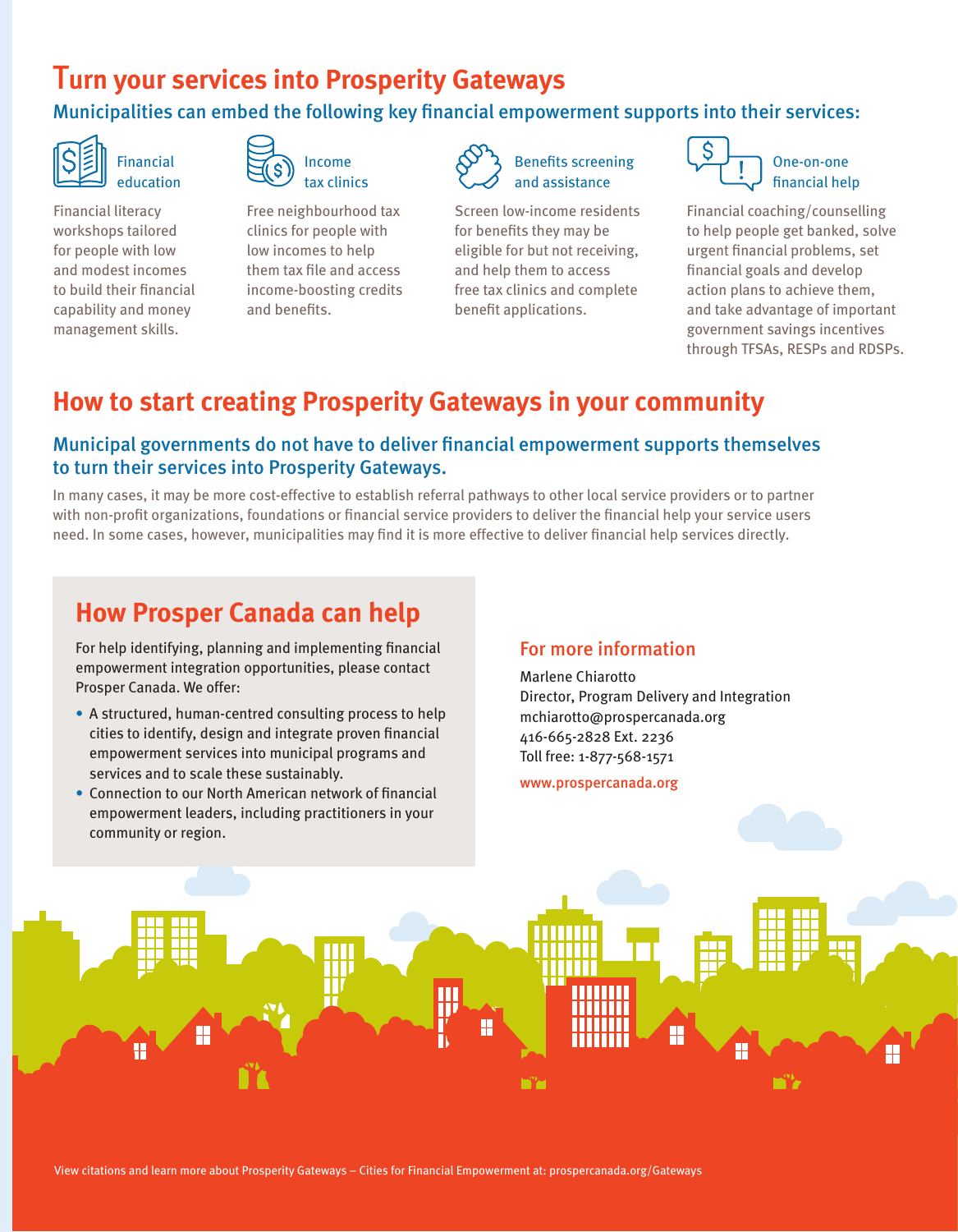# T**urn your services into Prosperity Gateways**

## Municipalities can embed the following key financial empowerment supports into their services:



Financial education

Financial literacy workshops tailored for people with low and modest incomes to build their financial capability and money management skills.



Free neighbourhood tax clinics for people with low incomes to help them tax file and access income-boosting credits and benefits.



Screen low-income residents for benefits they may be eligible for but not receiving, and help them to access free tax clinics and complete benefit applications.



Financial coaching/counselling to help people get banked, solve urgent financial problems, set financial goals and develop action plans to achieve them, and take advantage of important government savings incentives through TFSAs, RESPs and RDSPs.

# **How to start creating Prosperity Gateways in your community**

## Municipal governments do not have to deliver financial empowerment supports themselves to turn their services into Prosperity Gateways.

In many cases, it may be more cost-effective to establish referral pathways to other local service providers or to partner with non-profit organizations, foundations or financial service providers to deliver the financial help your service users need. In some cases, however, municipalities may find it is more effective to deliver financial help services directly.

# **How Prosper Canada can help**

For help identifying, planning and implementing financial empowerment integration opportunities, please contact Prosper Canada. We offer:

- A structured, human-centred consulting process to help cities to identify, design and integrate proven financial empowerment services into municipal programs and services and to scale these sustainably.
- Connection to our North American network of financial empowerment leaders, including practitioners in your community or region.

### For more information

Marlene Chiarotto Director, Program Delivery and Integration mchiarotto@prospercanada.org 416-665-2828 Ext. 2236 Toll free: 1-877-568-1571

www.prospercanada.org